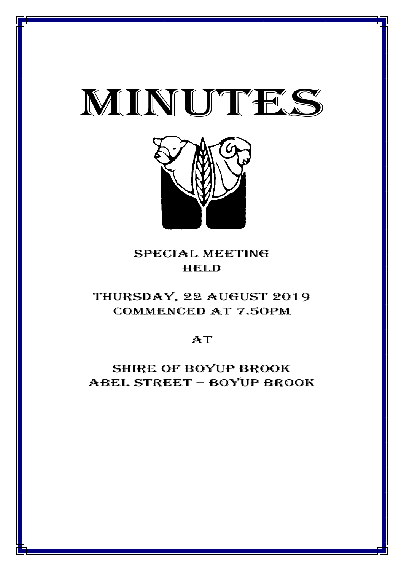



# special meeting **HELD**

# thursday, 22 AUGUST 2019 CommencED at 7.50PM

# $AT$

# Shire of boyup brook ABEL STREET – BOYUP BROOK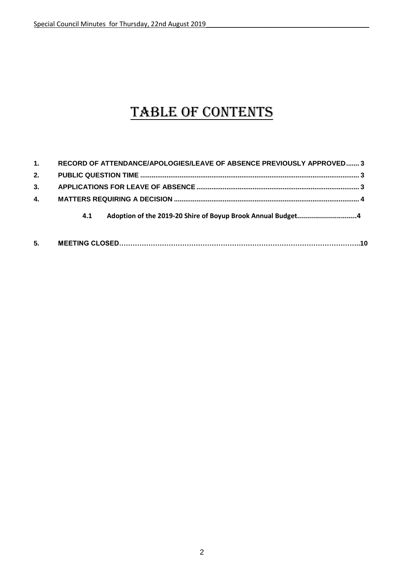# TABLE OF CONTENTS

| 5. |                                                                       |  |
|----|-----------------------------------------------------------------------|--|
|    | 4.1                                                                   |  |
| 4. |                                                                       |  |
| 3. |                                                                       |  |
| 2. |                                                                       |  |
| 1. | RECORD OF ATTENDANCE/APOLOGIES/LEAVE OF ABSENCE PREVIOUSLY APPROVED 3 |  |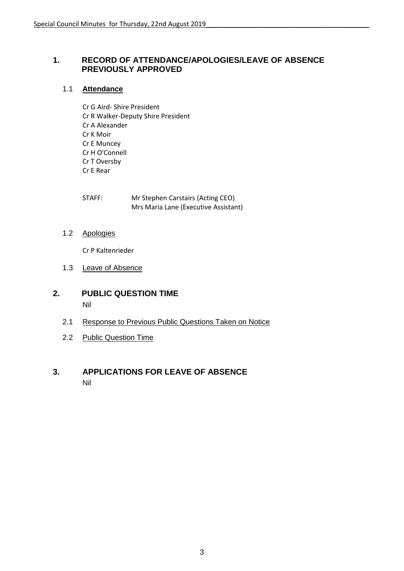#### <span id="page-2-0"></span>**1. RECORD OF ATTENDANCE/APOLOGIES/LEAVE OF ABSENCE PREVIOUSLY APPROVED**

#### 1.1 **Attendance**

Cr G Aird- Shire President Cr R Walker-Deputy Shire President Cr A Alexander Cr K Moir Cr E Muncey Cr H O'Connell Cr T Oversby Cr E Rear

| STAFF: | Mr Stephen Carstairs (Acting CEO)    |
|--------|--------------------------------------|
|        | Mrs Maria Lane (Executive Assistant) |

1.2 Apologies

Cr P Kaltenrieder

- 1.3 Leave of Absence
- <span id="page-2-1"></span>**2. PUBLIC QUESTION TIME** Nil
	- 2.1 Response to Previous Public Questions Taken on Notice
	- 2.2 Public Question Time

#### <span id="page-2-2"></span>**3. APPLICATIONS FOR LEAVE OF ABSENCE** Nil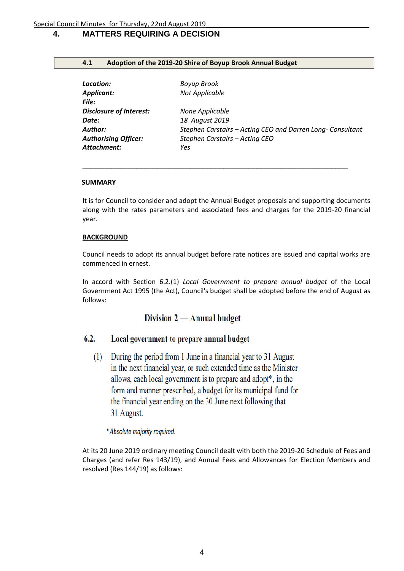### <span id="page-3-0"></span>**4. MATTERS REQUIRING A DECISION**

#### **4.1 Adoption of the 2019-20 Shire of Boyup Brook Annual Budget**

| Location:<br>Applicant:<br>File: | Boyup Brook<br>Not Applicable                              |
|----------------------------------|------------------------------------------------------------|
| <b>Disclosure of Interest:</b>   | None Applicable                                            |
| Date:                            | 18 August 2019                                             |
| Author:                          | Stephen Carstairs - Acting CEO and Darren Long- Consultant |
| <b>Authorising Officer:</b>      | Stephen Carstairs - Acting CEO                             |
| Attachment:                      | Yes                                                        |

\_\_\_\_\_\_\_\_\_\_\_\_\_\_\_\_\_\_\_\_\_\_\_\_\_\_\_\_\_\_\_\_\_\_\_\_\_\_\_\_\_\_\_\_\_\_\_\_\_\_\_\_\_\_\_\_\_\_\_\_\_\_\_\_

#### **SUMMARY**

It is for Council to consider and adopt the Annual Budget proposals and supporting documents along with the rates parameters and associated fees and charges for the 2019-20 financial year.

#### **BACKGROUND**

Council needs to adopt its annual budget before rate notices are issued and capital works are commenced in ernest.

In accord with Section 6.2.(1) *Local Government to prepare annual budget* of the Local Government Act 1995 (the Act), Council's budget shall be adopted before the end of August as follows:

### Division 2 - Annual budget

#### $6.2.$ Local government to prepare annual budget

During the period from 1 June in a financial year to 31 August  $(1)$ in the next financial year, or such extended time as the Minister allows, each local government is to prepare and adopt<sup>\*</sup>, in the form and manner prescribed, a budget for its municipal fund for the financial year ending on the 30 June next following that 31 August.

#### \* Absolute majority required.

At its 20 June 2019 ordinary meeting Council dealt with both the 2019-20 Schedule of Fees and Charges (and refer Res 143/19), and Annual Fees and Allowances for Election Members and resolved (Res 144/19) as follows: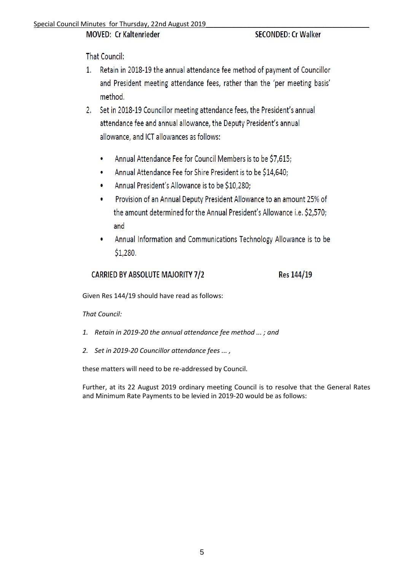### MOVED: Cr Kaltenrieder

**SECONDED: Cr Walker** 

**That Council:** 

- 1. Retain in 2018-19 the annual attendance fee method of payment of Councillor and President meeting attendance fees, rather than the 'per meeting basis' method.
- 2. Set in 2018-19 Councillor meeting attendance fees, the President's annual attendance fee and annual allowance, the Deputy President's annual allowance, and ICT allowances as follows:
	- Annual Attendance Fee for Council Members is to be \$7,615;  $\bullet$
	- Annual Attendance Fee for Shire President is to be \$14,640;
	- Annual President's Allowance is to be \$10,280;
	- Provision of an Annual Deputy President Allowance to an amount 25% of the amount determined for the Annual President's Allowance i.e. \$2,570; and
	- Annual Information and Communications Technology Allowance is to be  $$1,280.$

#### **CARRIED BY ABSOLUTE MAJORITY 7/2** Res 144/19

Given Res 144/19 should have read as follows:

*That Council:*

- *1. Retain in 2019-20 the annual attendance fee method ... ; and*
- *2. Set in 2019-20 Councillor attendance fees ... ,*

these matters will need to be re-addressed by Council.

Further, at its 22 August 2019 ordinary meeting Council is to resolve that the General Rates and Minimum Rate Payments to be levied in 2019-20 would be as follows: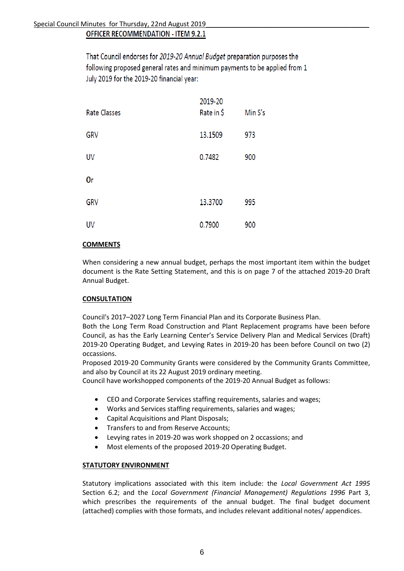That Council endorses for 2019-20 Annual Budget preparation purposes the following proposed general rates and minimum payments to be applied from 1 July 2019 for the 2019-20 financial year:

| <b>Rate Classes</b> | 2019-20<br>Rate in \$ | Min S's |
|---------------------|-----------------------|---------|
| <b>GRV</b>          | 13.1509               | 973     |
| UV                  | 0.7482                | 900     |
| 0r                  |                       |         |
| <b>GRV</b>          | 13.3700               | 995     |
| <b>UV</b>           | 0.7900                | 900     |

#### **COMMENTS**

When considering a new annual budget, perhaps the most important item within the budget document is the Rate Setting Statement, and this is on page 7 of the attached 2019-20 Draft Annual Budget.

#### **CONSULTATION**

Council's 2017–2027 Long Term Financial Plan and its Corporate Business Plan.

Both the Long Term Road Construction and Plant Replacement programs have been before Council, as has the Early Learning Center's Service Delivery Plan and Medical Services (Draft) 2019-20 Operating Budget, and Levying Rates in 2019-20 has been before Council on two (2) occassions.

Proposed 2019-20 Community Grants were considered by the Community Grants Committee, and also by Council at its 22 August 2019 ordinary meeting.

Council have workshopped components of the 2019-20 Annual Budget as follows:

- CEO and Corporate Services staffing requirements, salaries and wages;
- Works and Services staffing requirements, salaries and wages;
- Capital Acquisitions and Plant Disposals;
- **•** Transfers to and from Reserve Accounts;
- Levying rates in 2019-20 was work shopped on 2 occassions; and
- Most elements of the proposed 2019-20 Operating Budget.

#### **STATUTORY ENVIRONMENT**

Statutory implications associated with this item include: the *Local Government Act 1995* Section 6.2; and the *Local Government (Financial Management) Regulations 1996* Part 3, which prescribes the requirements of the annual budget. The final budget document (attached) complies with those formats, and includes relevant additional notes/ appendices.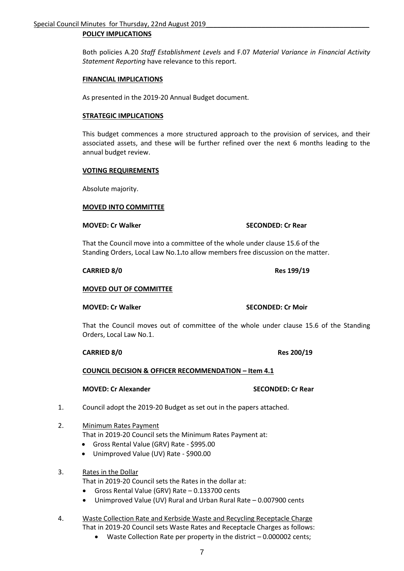#### **POLICY IMPLICATIONS**

Both policies A.20 *Staff Establishment Levels* and F.07 *Material Variance in Financial Activity Statement Reporting* have relevance to this report.

#### **FINANCIAL IMPLICATIONS**

As presented in the 2019-20 Annual Budget document.

#### **STRATEGIC IMPLICATIONS**

This budget commences a more structured approach to the provision of services, and their associated assets, and these will be further refined over the next 6 months leading to the annual budget review.

#### **VOTING REQUIREMENTS**

Absolute majority.

#### **MOVED INTO COMMITTEE**

That the Council move into a committee of the whole under clause 15.6 of the Standing Orders, Local Law No.1**.**to allow members free discussion on the matter.

#### **CARRIED 8/0 Res 199/19**

#### **MOVED OUT OF COMMITTEE**

#### **MOVED: Cr Walker SECONDED: Cr Moir**

That the Council moves out of committee of the whole under clause 15.6 of the Standing Orders, Local Law No.1.

#### **CARRIED 8/0 Res 200/19**

#### **COUNCIL DECISION & OFFICER RECOMMENDATION – Item 4.1**

#### **MOVED: Cr Alexander SECONDED: Cr Rear**

- 1. Council adopt the 2019-20 Budget as set out in the papers attached.
- 2. Minimum Rates Payment That in 2019-20 Council sets the Minimum Rates Payment at:
	- Gross Rental Value (GRV) Rate \$995.00
	- Unimproved Value (UV) Rate \$900.00
- 3. Rates in the Dollar

That in 2019-20 Council sets the Rates in the dollar at:

- Gross Rental Value (GRV) Rate 0.133700 cents
- Unimproved Value (UV) Rural and Urban Rural Rate 0.007900 cents
- 4. Waste Collection Rate and Kerbside Waste and Recycling Receptacle Charge That in 2019-20 Council sets Waste Rates and Receptacle Charges as follows:
	- Waste Collection Rate per property in the district 0.000002 cents;

#### **MOVED: Cr Walker SECONDED: Cr Rear**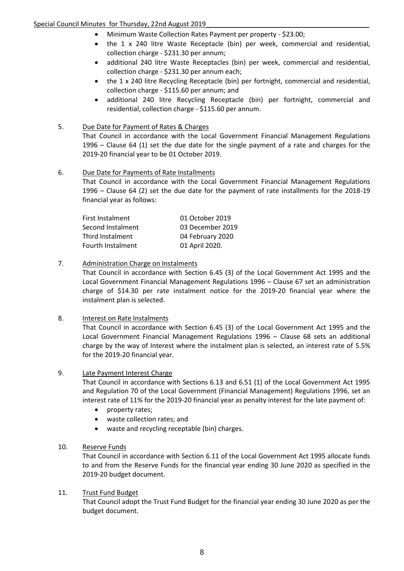#### Special Council Minutes for Thursday, 22nd August 2019

- Minimum Waste Collection Rates Payment per property \$23.00;
- the 1 x 240 litre Waste Receptacle (bin) per week, commercial and residential, collection charge - \$231.30 per annum;
- additional 240 litre Waste Receptacles (bin) per week, commercial and residential, collection charge - \$231.30 per annum each;
- the 1 x 240 litre Recycling Receptacle (bin) per fortnight, commercial and residential, collection charge - \$115.60 per annum; and
- additional 240 litre Recycling Receptacle (bin) per fortnight, commercial and residential, collection charge - \$115.60 per annum.

#### 5. Due Date for Payment of Rates & Charges

That Council in accordance with the Local Government Financial Management Regulations 1996 – Clause 64 (1) set the due date for the single payment of a rate and charges for the 2019-20 financial year to be 01 October 2019.

#### 6. Due Date for Payments of Rate Installments

That Council in accordance with the Local Government Financial Management Regulations 1996 – Clause 64 (2) set the due date for the payment of rate installments for the 2018-19 financial year as follows:

| First Instalment  | 01 October 2019  |
|-------------------|------------------|
| Second Instalment | 03 December 2019 |
| Third Instalment  | 04 February 2020 |
| Fourth Instalment | 01 April 2020.   |

#### 7. Administration Charge on Instalments

That Council in accordance with Section 6.45 (3) of the Local Government Act 1995 and the Local Government Financial Management Regulations 1996 – Clause 67 set an administration charge of \$14.30 per rate instalment notice for the 2019-20 financial year where the instalment plan is selected.

#### 8. Interest on Rate Instalments

That Council in accordance with Section 6.45 (3) of the Local Government Act 1995 and the Local Government Financial Management Regulations 1996 – Clause 68 sets an additional charge by the way of Interest where the instalment plan is selected, an interest rate of 5.5% for the 2019-20 financial year.

#### 9. Late Payment Interest Charge

That Council in accordance with Sections 6.13 and 6.51 (1) of the Local Government Act 1995 and Regulation 70 of the Local Government (Financial Management) Regulations 1996, set an interest rate of 11% for the 2019-20 financial year as penalty interest for the late payment of:

- property rates;
- waste collection rates; and
- waste and recycling receptable (bin) charges.

#### 10. Reserve Funds

That Council in accordance with Section 6.11 of the Local Government Act 1995 allocate funds to and from the Reserve Funds for the financial year ending 30 June 2020 as specified in the 2019-20 budget document.

#### 11. Trust Fund Budget

That Council adopt the Trust Fund Budget for the financial year ending 30 June 2020 as per the budget document.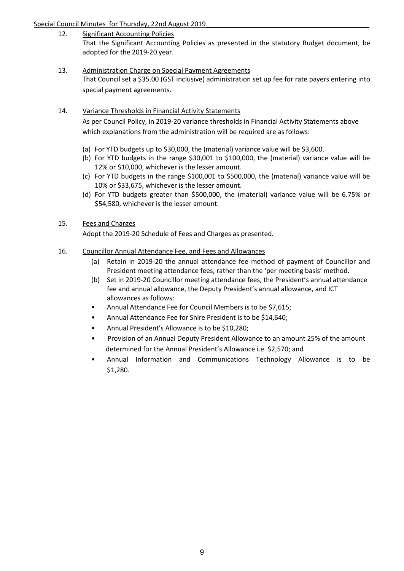#### Special Council Minutes for Thursday, 22nd August 2019

- 12. Significant Accounting Policies That the Significant Accounting Policies as presented in the statutory Budget document, be adopted for the 2019-20 year.
- 13. Administration Charge on Special Payment Agreements That Council set a \$35.00 (GST inclusive) administration set up fee for rate payers entering into special payment agreements.
- 14. Variance Thresholds in Financial Activity Statements As per Council Policy, in 2019-20 variance thresholds in Financial Activity Statements above which explanations from the administration will be required are as follows:
	- (a) For YTD budgets up to \$30,000, the (material) variance value will be \$3,600.
	- (b) For YTD budgets in the range \$30,001 to \$100,000, the (material) variance value will be 12% or \$10,000, whichever is the lesser amount.
	- (c) For YTD budgets in the range \$100,001 to \$500,000, the (material) variance value will be 10% or \$33,675, whichever is the lesser amount.
	- (d) For YTD budgets greater than \$500,000, the (material) variance value will be 6.75% or \$54,580, whichever is the lesser amount.
- 15. Fees and Charges

Adopt the 2019-20 Schedule of Fees and Charges as presented.

- 16. Councillor Annual Attendance Fee, and Fees and Allowances
	- (a) Retain in 2019-20 the annual attendance fee method of payment of Councillor and President meeting attendance fees, rather than the 'per meeting basis' method.
	- (b) Set in 2019-20 Councillor meeting attendance fees, the President's annual attendance fee and annual allowance, the Deputy President's annual allowance, and ICT allowances as follows:
	- Annual Attendance Fee for Council Members is to be \$7,615;
	- Annual Attendance Fee for Shire President is to be \$14,640;
	- Annual President's Allowance is to be \$10,280;
	- Provision of an Annual Deputy President Allowance to an amount 25% of the amount determined for the Annual President's Allowance i.e. \$2,570; and
	- Annual Information and Communications Technology Allowance is to be \$1,280.